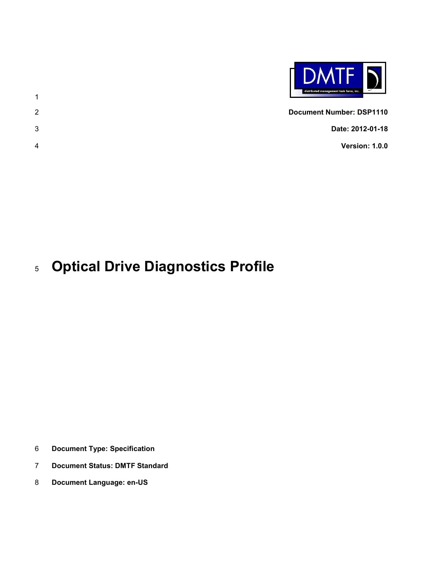

- **Document Number: DSP1110 Date: 2012-01-18**
- **Version: 1.0.0**

# **Optical Drive Diagnostics Profile**

- **Document Type: Specification**
- **Document Status: DMTF Standard**
- **Document Language: en-US**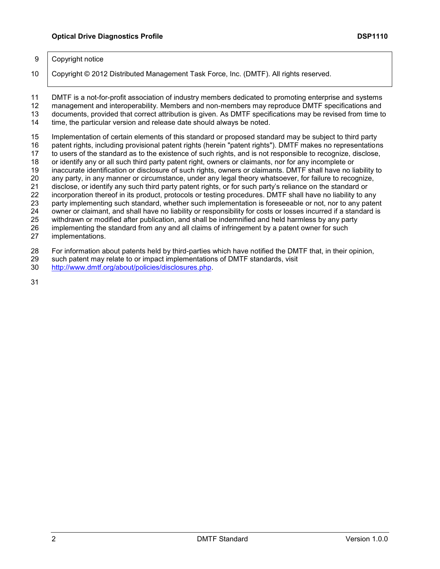### 9 Copyright notice

Copyright © 2012 Distributed Management Task Force, Inc. (DMTF). All rights reserved.

 DMTF is a not-for-profit association of industry members dedicated to promoting enterprise and systems management and interoperability. Members and non-members may reproduce DMTF specifications and documents, provided that correct attribution is given. As DMTF specifications may be revised from time to

time, the particular version and release date should always be noted.

Implementation of certain elements of this standard or proposed standard may be subject to third party

patent rights, including provisional patent rights (herein "patent rights"). DMTF makes no representations

to users of the standard as to the existence of such rights, and is not responsible to recognize, disclose,

18 or identify any or all such third party patent right, owners or claimants, nor for any incomplete or 19<br>19 inaccurate identification or disclosure of such rights, owners or claimants. DMTF shall have no li inaccurate identification or disclosure of such rights, owners or claimants. DMTF shall have no liability to

20 any party, in any manner or circumstance, under any legal theory whatsoever, for failure to recognize, 21 disclose, or identify any such third party patent rights, or for such party's reliance on the standard or

21 disclose, or identify any such third party patent rights, or for such party's reliance on the standard or<br>22 incorporation thereof in its product, protocols or testing procedures. DMTF shall have no liability to an incorporation thereof in its product, protocols or testing procedures. DMTF shall have no liability to any

party implementing such standard, whether such implementation is foreseeable or not, nor to any patent

owner or claimant, and shall have no liability or responsibility for costs or losses incurred if a standard is

withdrawn or modified after publication, and shall be indemnified and held harmless by any party

implementing the standard from any and all claims of infringement by a patent owner for such

implementations.

For information about patents held by third-parties which have notified the DMTF that, in their opinion,

- such patent may relate to or impact implementations of DMTF standards, visit
- [http://www.dmtf.org/about/policies/disclosures.php.](http://www.dmtf.org/about/policies/disclosures.php)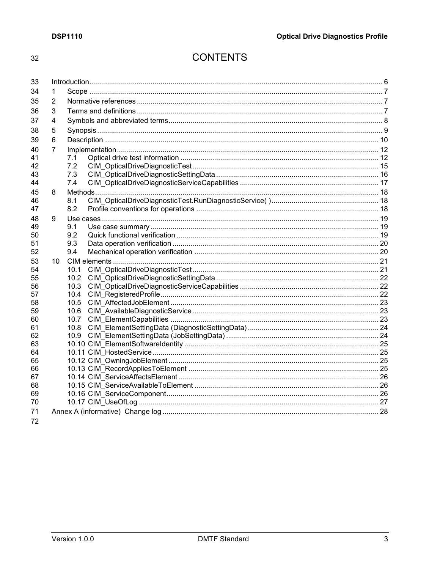32

# **CONTENTS**

| 33       |    |      |  |  |  |  |  |
|----------|----|------|--|--|--|--|--|
| 34       | 1  |      |  |  |  |  |  |
| 35       | 2  |      |  |  |  |  |  |
| 36       | 3  |      |  |  |  |  |  |
| 37       | 4  |      |  |  |  |  |  |
| 38       | 5  |      |  |  |  |  |  |
| 39       | 6  |      |  |  |  |  |  |
| 40       | 7  |      |  |  |  |  |  |
| 41       |    | 7.1  |  |  |  |  |  |
| 42       |    | 7.2  |  |  |  |  |  |
| 43       |    | 7.3  |  |  |  |  |  |
| 44       |    | 7.4  |  |  |  |  |  |
| 45       | 8  |      |  |  |  |  |  |
| 46       |    | 8.1  |  |  |  |  |  |
| 47       |    | 8.2  |  |  |  |  |  |
| 48       | 9  |      |  |  |  |  |  |
| 49       |    | 9.1  |  |  |  |  |  |
| 50       |    | 9.2  |  |  |  |  |  |
| 51       |    | 9.3  |  |  |  |  |  |
| 52       |    | 9.4  |  |  |  |  |  |
| 53       | 10 |      |  |  |  |  |  |
| 54       |    | 10.1 |  |  |  |  |  |
| 55       |    | 10.2 |  |  |  |  |  |
| 56       |    | 10.3 |  |  |  |  |  |
| 57       |    | 10.4 |  |  |  |  |  |
| 58       |    | 10.5 |  |  |  |  |  |
| 59       |    | 10.6 |  |  |  |  |  |
| 60       |    | 10.7 |  |  |  |  |  |
| 61       |    | 10.8 |  |  |  |  |  |
| 62       |    |      |  |  |  |  |  |
| 63       |    |      |  |  |  |  |  |
| 64       |    |      |  |  |  |  |  |
| 65<br>66 |    |      |  |  |  |  |  |
| 67       |    |      |  |  |  |  |  |
| 68       |    |      |  |  |  |  |  |
| 69       |    |      |  |  |  |  |  |
| 70       |    |      |  |  |  |  |  |
| 71       |    |      |  |  |  |  |  |
| 72       |    |      |  |  |  |  |  |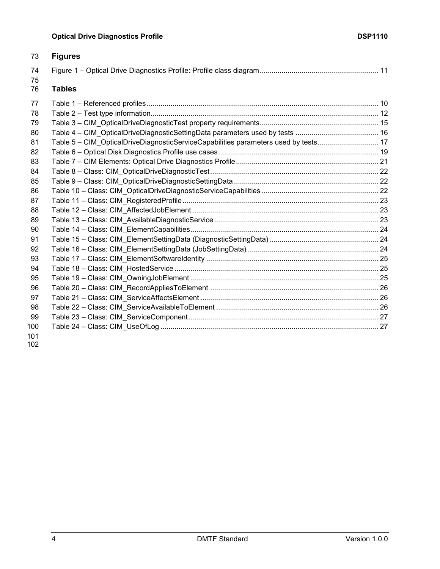| 73       | <b>Figures</b>                                                                      |  |
|----------|-------------------------------------------------------------------------------------|--|
| 74<br>75 |                                                                                     |  |
| 76       | <b>Tables</b>                                                                       |  |
| 77       |                                                                                     |  |
| 78       |                                                                                     |  |
| 79       |                                                                                     |  |
| 80       |                                                                                     |  |
| 81       | Table 5 - CIM OpticalDriveDiagnosticServiceCapabilities parameters used by tests 17 |  |
| 82       |                                                                                     |  |
| 83       |                                                                                     |  |
| 84       |                                                                                     |  |
| 85       |                                                                                     |  |
| 86       |                                                                                     |  |
| 87       |                                                                                     |  |
| 88       |                                                                                     |  |
| 89       |                                                                                     |  |
| 90       |                                                                                     |  |
| 91       |                                                                                     |  |
| 92       |                                                                                     |  |
| 93       |                                                                                     |  |
| 94       |                                                                                     |  |
| 95       |                                                                                     |  |
| 96       |                                                                                     |  |
| 97       |                                                                                     |  |
| 98       |                                                                                     |  |
| 99       |                                                                                     |  |
| 100      |                                                                                     |  |
| 101      |                                                                                     |  |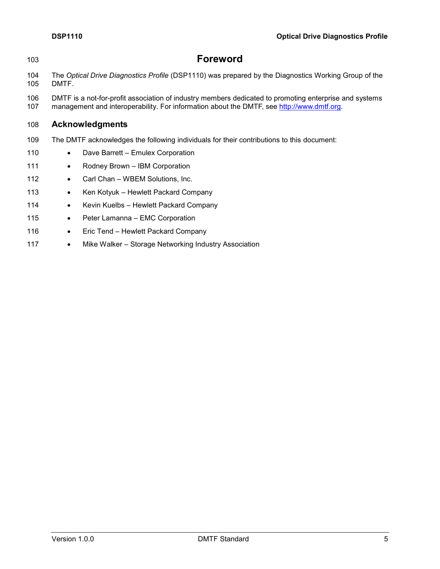| 103        | <b>Foreword</b>                                                                                                                                                                                     |  |  |  |  |
|------------|-----------------------------------------------------------------------------------------------------------------------------------------------------------------------------------------------------|--|--|--|--|
| 104<br>105 | The Optical Drive Diagnostics Profile (DSP1110) was prepared by the Diagnostics Working Group of the<br>DMTF.                                                                                       |  |  |  |  |
| 106<br>107 | DMTF is a not-for-profit association of industry members dedicated to promoting enterprise and systems<br>management and interoperability. For information about the DMTF, see http://www.dmtf.org. |  |  |  |  |
| 108        | <b>Acknowledgments</b>                                                                                                                                                                              |  |  |  |  |
| 109        | The DMTF acknowledges the following individuals for their contributions to this document:                                                                                                           |  |  |  |  |
| 110        | Dave Barrett - Emulex Corporation<br>$\bullet$                                                                                                                                                      |  |  |  |  |
| 111        | Rodney Brown - IBM Corporation<br>$\bullet$                                                                                                                                                         |  |  |  |  |
| 112        | Carl Chan - WBEM Solutions, Inc.<br>$\bullet$                                                                                                                                                       |  |  |  |  |
| 113        | Ken Kotyuk - Hewlett Packard Company<br>$\bullet$                                                                                                                                                   |  |  |  |  |
| 114        | Kevin Kuelbs - Hewlett Packard Company<br>$\bullet$                                                                                                                                                 |  |  |  |  |
| 115        | Peter Lamanna - EMC Corporation<br>$\bullet$                                                                                                                                                        |  |  |  |  |
| 116        | Eric Tend - Hewlett Packard Company<br>$\bullet$                                                                                                                                                    |  |  |  |  |
| 117        | Mike Walker – Storage Networking Industry Association<br>$\bullet$                                                                                                                                  |  |  |  |  |
|            |                                                                                                                                                                                                     |  |  |  |  |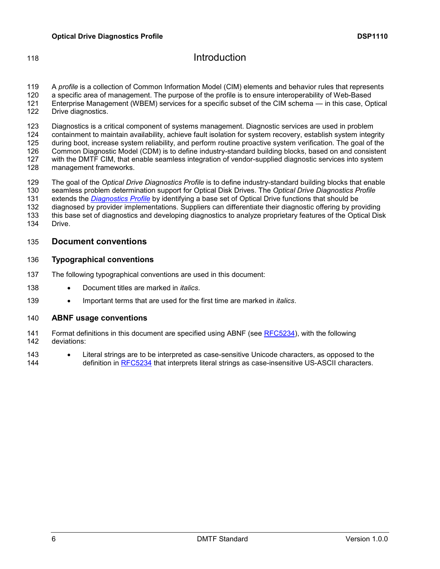# <span id="page-5-0"></span>118 and 118 introduction

 A *profile* is a collection of Common Information Model (CIM) elements and behavior rules that represents a specific area of management. The purpose of the profile is to ensure interoperability of Web-Based Enterprise Management (WBEM) services for a specific subset of the CIM schema — in this case, Optical

Drive diagnostics.

 Diagnostics is a critical component of systems management. Diagnostic services are used in problem containment to maintain availability, achieve fault isolation for system recovery, establish system integrity during boot, increase system reliability, and perform routine proactive system verification. The goal of the Common Diagnostic Model (CDM) is to define industry-standard building blocks, based on and consistent with the DMTF CIM, that enable seamless integration of vendor-supplied diagnostic services into system management frameworks.

 The goal of the *Optical Drive Diagnostics Profile* is to define industry-standard building blocks that enable seamless problem determination support for Optical Disk Drives. The *Optical Drive Diagnostics Profile*

extends the *[Diagnostics Profile](#page-6-3)* by identifying a base set of Optical Drive functions that should be

diagnosed by provider implementations. Suppliers can differentiate their diagnostic offering by providing

 this base set of diagnostics and developing diagnostics to analyze proprietary features of the Optical Disk Drive.

# **Document conventions**

# **Typographical conventions**

- The following typographical conventions are used in this document:
- Document titles are marked in *italics*.
- Important terms that are used for the first time are marked in *italics*.

### **ABNF usage conventions**

- Format definitions in this document are specified using ABNF (see [RFC5234\)](#page-6-4), with the following deviations:
- Literal strings are to be interpreted as case-sensitive Unicode characters, as opposed to the 144 definition in [RFC5234](#page-6-4) that interprets literal strings as case-insensitive US-ASCII characters.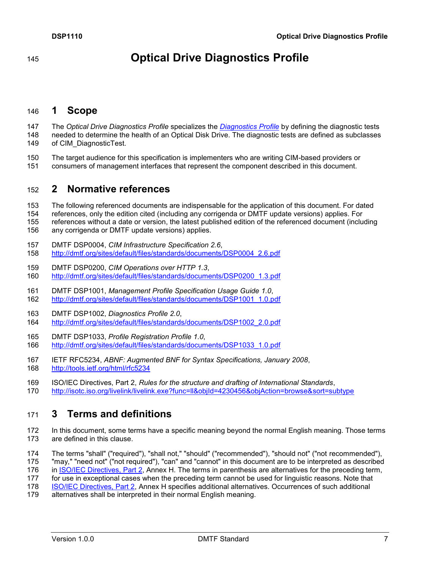# <span id="page-6-0"></span>**1 Scope**

 The *Optical Drive Diagnostics Profile* specializes the *[Diagnostics Profile](#page-6-3)* by defining the diagnostic tests needed to determine the health of an Optical Disk Drive. The diagnostic tests are defined as subclasses 149 of CIM DiagnosticTest.

- 150 The target audience for this specification is implementers who are writing CIM-based providers or<br>151 consumers of management interfaces that represent the component described in this document.
- <span id="page-6-1"></span>consumers of management interfaces that represent the component described in this document.

# **2 Normative references**

- The following referenced documents are indispensable for the application of this document. For dated
- references, only the edition cited (including any corrigenda or DMTF update versions) applies. For
- references without a date or version, the latest published edition of the referenced document (including any corrigenda or DMTF update versions) applies.
- <span id="page-6-6"></span>DMTF DSP0004, *CIM Infrastructure Specification 2.6*,
- [http://dmtf.org/sites/default/files/standards/documents/DSP0004\\_2.6.pdf](http://dmtf.org/sites/default/files/standards/documents/DSP0004_2.6.pdf)
- <span id="page-6-7"></span> DMTF DSP0200, *CIM Operations over HTTP 1.3*, [http://dmtf.org/sites/default/files/standards/documents/DSP0200\\_1.3.pdf](http://dmtf.org/sites/default/files/standards/documents/DSP0200_1.3.pdf)
- <span id="page-6-8"></span> DMTF DSP1001, *Management Profile Specification Usage Guide 1.0*, [http://dmtf.org/sites/default/files/standards/documents/DSP1001\\_1.0.pdf](http://dmtf.org/sites/default/files/standards/documents/DSP1001_1.0.pdf)
- <span id="page-6-3"></span>DMTF DSP1002, *Diagnostics Profile 2.0*,
- [http://dmtf.org/sites/default/files/standards/documents/DSP1002\\_2.0.pdf](http://dmtf.org/sites/default/files/standards/documents/DSP1002_2.0.pdf)
- <span id="page-6-9"></span>DMTF DSP1033, *Profile Registration Profile 1.0*,
- [http://dmtf.org/sites/default/files/standards/documents/DSP1033\\_1.0.pdf](http://dmtf.org/sites/default/files/standards/documents/DSP1033_1.0.pdf)
- <span id="page-6-4"></span>IETF RFC5234, *ABNF: Augmented BNF for Syntax Specifications, January 2008*,
- <http://tools.ietf.org/html/rfc5234>
- <span id="page-6-5"></span>ISO/IEC Directives, Part 2, *Rules for the structure and drafting of International Standards*,
- <span id="page-6-2"></span><http://isotc.iso.org/livelink/livelink.exe?func=ll&objId=4230456&objAction=browse&sort=subtype>

# **3 Terms and definitions**

- In this document, some terms have a specific meaning beyond the normal English meaning. Those terms are defined in this clause.
- The terms "shall" ("required"), "shall not," "should" ("recommended"), "should not" ("not recommended"),
- "may," "need not" ("not required"), "can" and "cannot" in this document are to be interpreted as described
- in [ISO/IEC Directives, Part 2,](#page-6-5) Annex H. The terms in parenthesis are alternatives for the preceding term,
- for use in exceptional cases when the preceding term cannot be used for linguistic reasons. Note that
- [ISO/IEC Directives, Part 2,](#page-6-5) Annex H specifies additional alternatives. Occurrences of such additional
- alternatives shall be interpreted in their normal English meaning.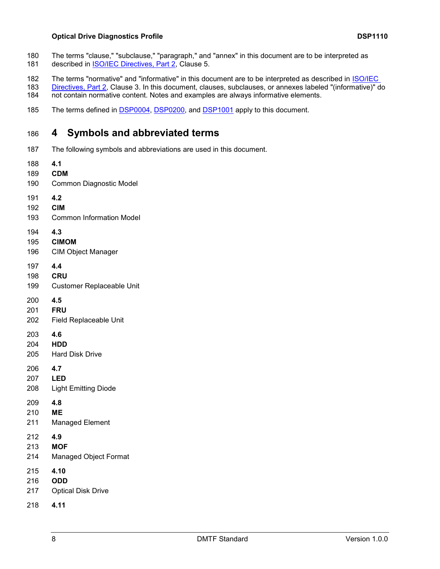### **Optical Drive Diagnostics Profile DSP1110**

- The terms "clause," "subclause," "paragraph," and "annex" in this document are to be interpreted as 181 described in [ISO/IEC Directives, Part 2,](#page-6-5) Clause 5.
- 182 The terms "normative" and "informative" in this document are to be interpreted as described in **ISO/IEC**
- [Directives, Part 2,](#page-6-5) Clause 3. In this document, clauses, subclauses, or annexes labeled "(informative)" do not contain normative content. Notes and examples are always informative elements.
- <span id="page-7-0"></span>185 The terms defined in [DSP0004,](#page-6-6) [DSP0200,](#page-6-7) and [DSP1001](#page-6-8) apply to this document.

# **4 Symbols and abbreviated terms**

- The following symbols and abbreviations are used in this document.
- **4.1**
- **CDM**
- Common Diagnostic Model
- **4.2**
- **CIM**
- Common Information Model
- **4.3**
- **CIMOM**
- CIM Object Manager
- **4.4**
- **CRU**
- Customer Replaceable Unit
- **4.5**
- **FRU**
- Field Replaceable Unit
- **4.6**
- **HDD**
- Hard Disk Drive
- **4.7**
- **LED**
- Light Emitting Diode
- **4.8**
- **ME**
- Managed Element
- **4.9**
- **MOF**
- Managed Object Format
- **4.10**
- **ODD**
- Optical Disk Drive
- **4.11**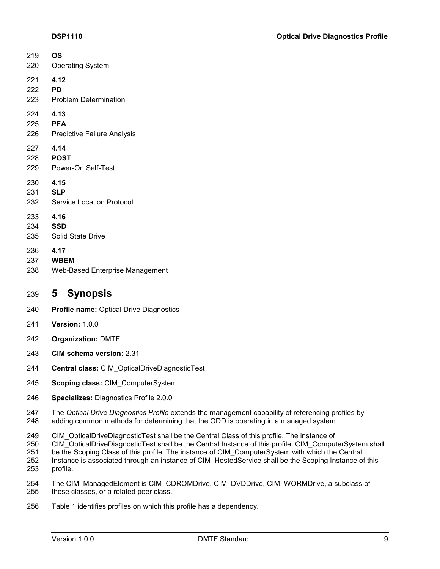| 219                   | ΟS                                     |
|-----------------------|----------------------------------------|
| 220                   | <b>Operating System</b>                |
| 221                   | 4.12                                   |
| 222                   | <b>PD</b>                              |
| 223                   | <b>Problem Determination</b>           |
| 224<br>225 PFA<br>226 | 4.13<br>Predictive Failure Analysis    |
| 227                   | 4.14                                   |
| 228                   | <b>POST</b>                            |
| 229                   | Power-On Self-Test                     |
| 230                   | 4.15                                   |
| 231                   | <b>SLP</b>                             |
| 232                   | <b>Service Location Protocol</b>       |
| 233                   | 4.16                                   |
| 234                   | <b>SSD</b>                             |
| 235                   | Solid State Drive                      |
| 236                   | 4.17                                   |
| 237                   | <b>WBEM</b>                            |
| 238                   | <b>Web-Based Enterprise Management</b> |

# <span id="page-8-0"></span>**5 Synopsis**

- **Profile name:** Optical Drive Diagnostics
- **Version:** 1.0.0
- **Organization:** DMTF
- **CIM schema version:** 2.31
- **Central class:** CIM\_OpticalDriveDiagnosticTest
- **Scoping class:** CIM\_ComputerSystem
- **Specializes:** Diagnostics Profile 2.0.0
- The *Optical Drive Diagnostics Profile* extends the management capability of referencing profiles by adding common methods for determining that the ODD is operating in a managed system.
- 249 CIM OpticalDriveDiagnosticTest shall be the Central Class of this profile. The instance of
- CIM\_OpticalDriveDiagnosticTest shall be the Central Instance of this profile. CIM\_ComputerSystem shall be the Scoping Class of this profile. The instance of CIM\_ComputerSystem with which the Central Instance is associated through an instance of CIM\_HostedService shall be the Scoping Instance of this profile.
- The CIM\_ManagedElement is CIM\_CDROMDrive, CIM\_DVDDrive, CIM\_WORMDrive, a subclass of these classes, or a related peer class.
- [Table 1](#page-9-1) identifies profiles on which this profile has a dependency.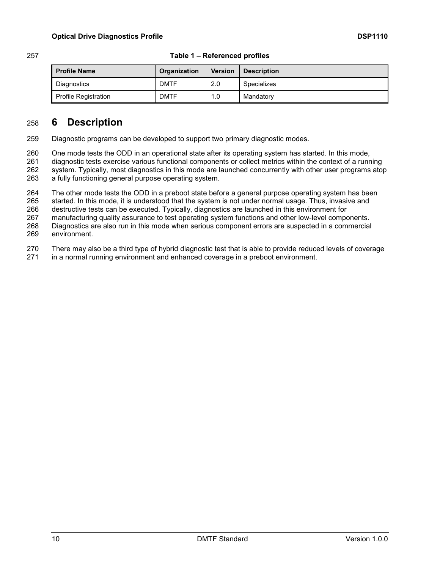| Table 1 – Referenced profiles |
|-------------------------------|
|                               |

<span id="page-9-1"></span>

| <b>Profile Name</b>         | Organization | <b>Version</b> | <b>Description</b> |
|-----------------------------|--------------|----------------|--------------------|
| Diagnostics                 | DMTF         | 2.0            | Specializes        |
| <b>Profile Registration</b> | DMTF         | 1.0            | Mandatory          |

# <span id="page-9-0"></span>258 **6 Description**

259 Diagnostic programs can be developed to support two primary diagnostic modes.

260 One mode tests the ODD in an operational state after its operating system has started. In this mode,

261 diagnostic tests exercise various functional components or collect metrics within the context of a running<br>262 system. Typically, most diagnostics in this mode are launched concurrently with other user programs ato

262 system. Typically, most diagnostics in this mode are launched concurrently with other user programs atop<br>263 a fully functioning general purpose operating system.

a fully functioning general purpose operating system.

264 The other mode tests the ODD in a preboot state before a general purpose operating system has been<br>265 started. In this mode, it is understood that the system is not under normal usage. Thus, invasive and

265 started. In this mode, it is understood that the system is not under normal usage. Thus, invasive and 266 destructive tests can be executed. Typically, diagnostics are launched in this environment for destructive tests can be executed. Typically, diagnostics are launched in this environment for

267 manufacturing quality assurance to test operating system functions and other low-level components.

268 Diagnostics are also run in this mode when serious component errors are suspected in a commercial

environment.

270 There may also be a third type of hybrid diagnostic test that is able to provide reduced levels of coverage 271 in a normal running environment and enhanced coverage in a preboot environment.

in a normal running environment and enhanced coverage in a preboot environment.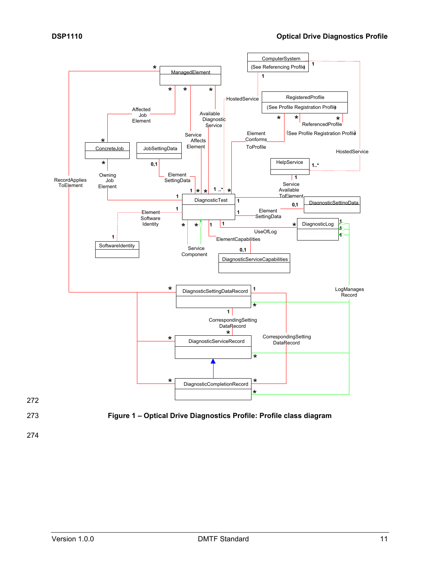

<span id="page-10-0"></span>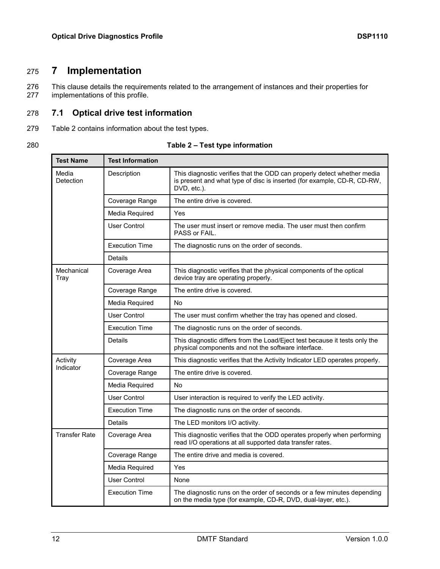# <span id="page-11-0"></span>275 **7 Implementation**

276 This clause details the requirements related to the arrangement of instances and their properties for 277 implementations of this profile.

# <span id="page-11-1"></span>278 **7.1 Optical drive test information**

279 [Table 2](#page-11-2) contains information about the test types.

| ł<br>۰.<br>۰.<br>× |  |
|--------------------|--|

280 **Table 2 – Test type information**

<span id="page-11-2"></span>

| <b>Test Name</b>     | <b>Test Information</b> |                                                                                                                                                                   |  |  |
|----------------------|-------------------------|-------------------------------------------------------------------------------------------------------------------------------------------------------------------|--|--|
| Media<br>Detection   | Description             | This diagnostic verifies that the ODD can properly detect whether media<br>is present and what type of disc is inserted (for example, CD-R, CD-RW,<br>DVD, etc.). |  |  |
|                      | Coverage Range          | The entire drive is covered.                                                                                                                                      |  |  |
|                      | Media Required          | Yes                                                                                                                                                               |  |  |
|                      | <b>User Control</b>     | The user must insert or remove media. The user must then confirm<br>PASS or FAIL.                                                                                 |  |  |
|                      | <b>Execution Time</b>   | The diagnostic runs on the order of seconds.                                                                                                                      |  |  |
|                      | Details                 |                                                                                                                                                                   |  |  |
| Mechanical<br>Tray   | Coverage Area           | This diagnostic verifies that the physical components of the optical<br>device tray are operating properly.                                                       |  |  |
|                      | Coverage Range          | The entire drive is covered.                                                                                                                                      |  |  |
|                      | Media Required          | No                                                                                                                                                                |  |  |
|                      | <b>User Control</b>     | The user must confirm whether the tray has opened and closed.                                                                                                     |  |  |
|                      | <b>Execution Time</b>   | The diagnostic runs on the order of seconds.                                                                                                                      |  |  |
|                      | Details                 | This diagnostic differs from the Load/Eject test because it tests only the<br>physical components and not the software interface.                                 |  |  |
| Activity             | Coverage Area           | This diagnostic verifies that the Activity Indicator LED operates properly.                                                                                       |  |  |
| Indicator            | Coverage Range          | The entire drive is covered.                                                                                                                                      |  |  |
|                      | Media Required          | No                                                                                                                                                                |  |  |
|                      | <b>User Control</b>     | User interaction is required to verify the LED activity.                                                                                                          |  |  |
|                      | <b>Execution Time</b>   | The diagnostic runs on the order of seconds.                                                                                                                      |  |  |
|                      | Details                 | The LED monitors I/O activity.                                                                                                                                    |  |  |
| <b>Transfer Rate</b> | Coverage Area           | This diagnostic verifies that the ODD operates properly when performing<br>read I/O operations at all supported data transfer rates.                              |  |  |
|                      | Coverage Range          | The entire drive and media is covered.                                                                                                                            |  |  |
|                      | Media Required          | Yes                                                                                                                                                               |  |  |
|                      | <b>User Control</b>     | None                                                                                                                                                              |  |  |
|                      | <b>Execution Time</b>   | The diagnostic runs on the order of seconds or a few minutes depending<br>on the media type (for example, CD-R, DVD, dual-layer, etc.).                           |  |  |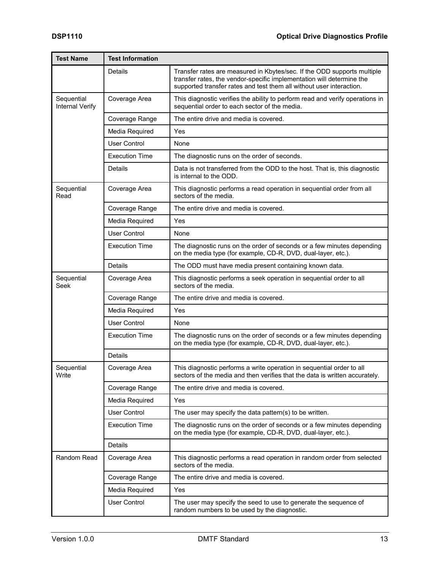| <b>Test Name</b>                     | <b>Test Information</b> |                                                                                                                                                                                                                          |  |  |  |
|--------------------------------------|-------------------------|--------------------------------------------------------------------------------------------------------------------------------------------------------------------------------------------------------------------------|--|--|--|
|                                      | Details                 | Transfer rates are measured in Kbytes/sec. If the ODD supports multiple<br>transfer rates, the vendor-specific implementation will determine the<br>supported transfer rates and test them all without user interaction. |  |  |  |
| Sequential<br><b>Internal Verify</b> | Coverage Area           | This diagnostic verifies the ability to perform read and verify operations in<br>sequential order to each sector of the media.                                                                                           |  |  |  |
|                                      | Coverage Range          | The entire drive and media is covered.                                                                                                                                                                                   |  |  |  |
|                                      | Media Required          | Yes                                                                                                                                                                                                                      |  |  |  |
|                                      | <b>User Control</b>     | None                                                                                                                                                                                                                     |  |  |  |
|                                      | <b>Execution Time</b>   | The diagnostic runs on the order of seconds.                                                                                                                                                                             |  |  |  |
|                                      | Details                 | Data is not transferred from the ODD to the host. That is, this diagnostic<br>is internal to the ODD.                                                                                                                    |  |  |  |
| Sequential<br>Read                   | Coverage Area           | This diagnostic performs a read operation in sequential order from all<br>sectors of the media.                                                                                                                          |  |  |  |
|                                      | Coverage Range          | The entire drive and media is covered.                                                                                                                                                                                   |  |  |  |
|                                      | Media Required          | Yes                                                                                                                                                                                                                      |  |  |  |
|                                      | <b>User Control</b>     | None                                                                                                                                                                                                                     |  |  |  |
|                                      | <b>Execution Time</b>   | The diagnostic runs on the order of seconds or a few minutes depending<br>on the media type (for example, CD-R, DVD, dual-layer, etc.).                                                                                  |  |  |  |
|                                      | Details                 | The ODD must have media present containing known data.                                                                                                                                                                   |  |  |  |
| Sequential<br>Seek                   | Coverage Area           | This diagnostic performs a seek operation in sequential order to all<br>sectors of the media.                                                                                                                            |  |  |  |
|                                      | Coverage Range          | The entire drive and media is covered.                                                                                                                                                                                   |  |  |  |
|                                      | Media Required          | Yes                                                                                                                                                                                                                      |  |  |  |
|                                      | <b>User Control</b>     | None                                                                                                                                                                                                                     |  |  |  |
|                                      | <b>Execution Time</b>   | The diagnostic runs on the order of seconds or a few minutes depending<br>on the media type (for example, CD-R, DVD, dual-layer, etc.).                                                                                  |  |  |  |
|                                      | <b>Details</b>          |                                                                                                                                                                                                                          |  |  |  |
| Sequential<br>Write                  | Coverage Area           | This diagnostic performs a write operation in sequential order to all<br>sectors of the media and then verifies that the data is written accurately.                                                                     |  |  |  |
|                                      | Coverage Range          | The entire drive and media is covered.                                                                                                                                                                                   |  |  |  |
|                                      | Media Required          | Yes                                                                                                                                                                                                                      |  |  |  |
|                                      | <b>User Control</b>     | The user may specify the data pattern(s) to be written.                                                                                                                                                                  |  |  |  |
|                                      | <b>Execution Time</b>   | The diagnostic runs on the order of seconds or a few minutes depending<br>on the media type (for example, CD-R, DVD, dual-layer, etc.).                                                                                  |  |  |  |
|                                      | Details                 |                                                                                                                                                                                                                          |  |  |  |
| Random Read                          | Coverage Area           | This diagnostic performs a read operation in random order from selected<br>sectors of the media.                                                                                                                         |  |  |  |
|                                      | Coverage Range          | The entire drive and media is covered.                                                                                                                                                                                   |  |  |  |
|                                      | Media Required          | Yes                                                                                                                                                                                                                      |  |  |  |
|                                      | User Control            | The user may specify the seed to use to generate the sequence of<br>random numbers to be used by the diagnostic.                                                                                                         |  |  |  |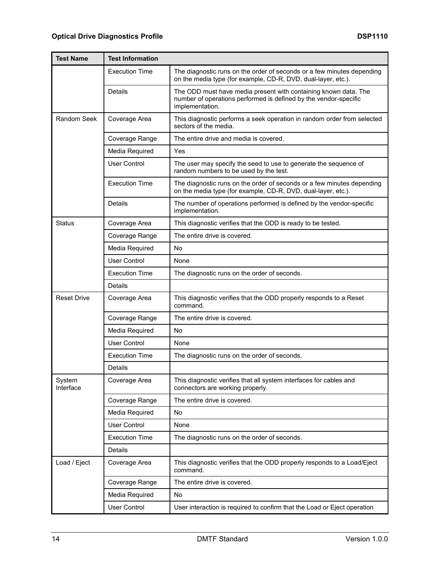| <b>Test Name</b>    | <b>Test Information</b> |                                                                                                                                                        |  |  |  |
|---------------------|-------------------------|--------------------------------------------------------------------------------------------------------------------------------------------------------|--|--|--|
|                     | <b>Execution Time</b>   | The diagnostic runs on the order of seconds or a few minutes depending<br>on the media type (for example, CD-R, DVD, dual-layer, etc.).                |  |  |  |
|                     | <b>Details</b>          | The ODD must have media present with containing known data. The<br>number of operations performed is defined by the vendor-specific<br>implementation. |  |  |  |
| Random Seek         | Coverage Area           | This diagnostic performs a seek operation in random order from selected<br>sectors of the media.                                                       |  |  |  |
|                     | Coverage Range          | The entire drive and media is covered.                                                                                                                 |  |  |  |
|                     | Media Required          | Yes                                                                                                                                                    |  |  |  |
|                     | <b>User Control</b>     | The user may specify the seed to use to generate the sequence of<br>random numbers to be used by the test.                                             |  |  |  |
|                     | <b>Execution Time</b>   | The diagnostic runs on the order of seconds or a few minutes depending<br>on the media type (for example, CD-R, DVD, dual-layer, etc.).                |  |  |  |
|                     | Details                 | The number of operations performed is defined by the vendor-specific<br>implementation.                                                                |  |  |  |
| Status              | Coverage Area           | This diagnostic verifies that the ODD is ready to be tested.                                                                                           |  |  |  |
|                     | Coverage Range          | The entire drive is covered.                                                                                                                           |  |  |  |
|                     | Media Required          | No                                                                                                                                                     |  |  |  |
|                     | <b>User Control</b>     | None                                                                                                                                                   |  |  |  |
|                     | <b>Execution Time</b>   | The diagnostic runs on the order of seconds.                                                                                                           |  |  |  |
|                     | Details                 |                                                                                                                                                        |  |  |  |
| <b>Reset Drive</b>  | Coverage Area           | This diagnostic verifies that the ODD properly responds to a Reset<br>command.                                                                         |  |  |  |
|                     | Coverage Range          | The entire drive is covered.                                                                                                                           |  |  |  |
|                     | Media Required          | No                                                                                                                                                     |  |  |  |
|                     | <b>User Control</b>     | None                                                                                                                                                   |  |  |  |
|                     | <b>Execution Time</b>   | The diagnostic runs on the order of seconds.                                                                                                           |  |  |  |
|                     | Details                 |                                                                                                                                                        |  |  |  |
| System<br>Interface | Coverage Area           | This diagnostic verifies that all system interfaces for cables and<br>connectors are working properly.                                                 |  |  |  |
|                     | Coverage Range          | The entire drive is covered.                                                                                                                           |  |  |  |
|                     | Media Required          | No                                                                                                                                                     |  |  |  |
|                     | <b>User Control</b>     | None                                                                                                                                                   |  |  |  |
|                     | <b>Execution Time</b>   | The diagnostic runs on the order of seconds.                                                                                                           |  |  |  |
|                     | Details                 |                                                                                                                                                        |  |  |  |
| Load / Eject        | Coverage Area           | This diagnostic verifies that the ODD properly responds to a Load/Eject<br>command.                                                                    |  |  |  |
|                     | Coverage Range          | The entire drive is covered.                                                                                                                           |  |  |  |
|                     | Media Required          | No                                                                                                                                                     |  |  |  |
|                     | <b>User Control</b>     | User interaction is required to confirm that the Load or Eject operation                                                                               |  |  |  |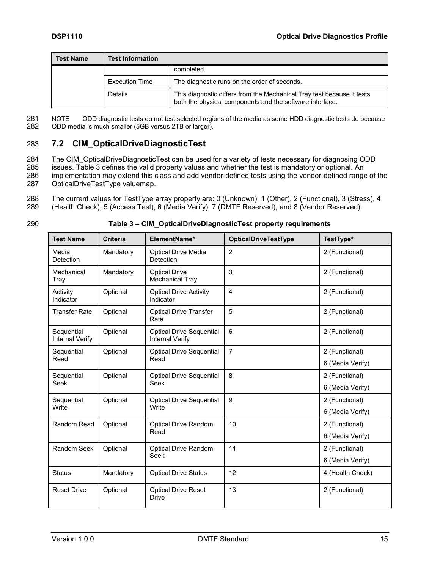| <b>Test Name</b> | <b>Test Information</b> |                                                                                                                                    |  |  |
|------------------|-------------------------|------------------------------------------------------------------------------------------------------------------------------------|--|--|
|                  |                         | completed.                                                                                                                         |  |  |
|                  | <b>Execution Time</b>   | The diagnostic runs on the order of seconds.                                                                                       |  |  |
|                  | Details                 | This diagnostic differs from the Mechanical Tray test because it tests<br>both the physical components and the software interface. |  |  |

281 NOTE ODD diagnostic tests do not test selected regions of the media as some HDD diagnostic tests do because<br>282 ODD media is much smaller (5GB versus 2TB or larger). ODD media is much smaller (5GB versus 2TB or larger).

# <span id="page-14-0"></span>283 **7.2 CIM\_OpticalDriveDiagnosticTest**

284 The CIM OpticalDriveDiagnosticTest can be used for a variety of tests necessary for diagnosing ODD issues. [Table 3](#page-14-1) defines the valid property values and whether the test is mandatory or optional. An implementation may extend this class and add vendor-defined tests using the vendor-defined range of the OpticalDriveTestType valuemap.

288 The current values for TestType array property are: 0 (Unknown), 1 (Other), 2 (Functional), 3 (Stress), 4 289 (Health Check), 5 (Access Test), 6 (Media Verify), 7 (DMTF Reserved), and 8 (Vendor Reserved).

290 **Table 3 – CIM\_OpticalDriveDiagnosticTest property requirements**

<span id="page-14-1"></span>

| <b>Test Name</b>                     | <b>Criteria</b> | ElementName*                                              | <b>OpticalDriveTestType</b> | TestType*        |
|--------------------------------------|-----------------|-----------------------------------------------------------|-----------------------------|------------------|
| Media<br>Detection                   | Mandatory       | <b>Optical Drive Media</b><br>Detection                   | 2                           | 2 (Functional)   |
| Mechanical<br>Tray                   | Mandatory       | <b>Optical Drive</b><br><b>Mechanical Tray</b>            | 3                           | 2 (Functional)   |
| Activity<br>Indicator                | Optional        | <b>Optical Drive Activity</b><br>Indicator                | $\overline{4}$              | 2 (Functional)   |
| <b>Transfer Rate</b>                 | Optional        | <b>Optical Drive Transfer</b><br>Rate                     | 5                           | 2 (Functional)   |
| Sequential<br><b>Internal Verify</b> | Optional        | <b>Optical Drive Sequential</b><br><b>Internal Verify</b> | 6                           | 2 (Functional)   |
| Sequential                           | Optional        | <b>Optical Drive Sequential</b><br>Read                   | $\overline{7}$              | 2 (Functional)   |
| Read                                 |                 |                                                           |                             | 6 (Media Verify) |
| Sequential                           | Optional        | <b>Optical Drive Sequential</b><br>Seek                   | 8                           | 2 (Functional)   |
| Seek                                 |                 |                                                           |                             | 6 (Media Verify) |
| Sequential                           | Optional        | <b>Optical Drive Sequential</b><br>Write                  | $\boldsymbol{9}$            | 2 (Functional)   |
| Write                                |                 |                                                           |                             | 6 (Media Verify) |
| Random Read                          | Optional        | <b>Optical Drive Random</b><br>Read                       | 10                          | 2 (Functional)   |
|                                      |                 |                                                           |                             | 6 (Media Verify) |
| Random Seek                          | Optional        | <b>Optical Drive Random</b><br>Seek                       | 11                          | 2 (Functional)   |
|                                      |                 |                                                           |                             | 6 (Media Verify) |
| <b>Status</b>                        | Mandatory       | <b>Optical Drive Status</b>                               | 12                          | 4 (Health Check) |
| <b>Reset Drive</b>                   | Optional        | <b>Optical Drive Reset</b><br><b>Drive</b>                | 13                          | 2 (Functional)   |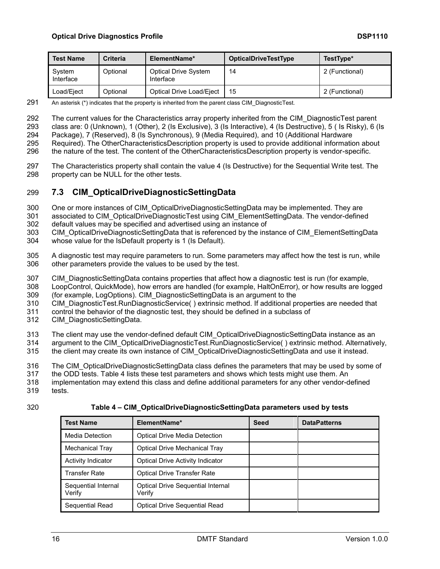| <b>Test Name</b>    | <b>Criteria</b> | ElementName*                             | <b>OpticalDriveTestType</b> | TestType*      |
|---------------------|-----------------|------------------------------------------|-----------------------------|----------------|
| System<br>Interface | Optional        | <b>Optical Drive System</b><br>Interface | 14                          | 2 (Functional) |
| Load/Eiect          | Optional        | <b>Optical Drive Load/Eject</b>          | 15                          | 2 (Functional) |

291 An asterisk (\*) indicates that the property is inherited from the parent class CIM\_DiagnosticTest.

 The current values for the Characteristics array property inherited from the CIM\_DiagnosticTest parent class are: 0 (Unknown), 1 (Other), 2 (Is Exclusive), 3 (Is Interactive), 4 (Is Destructive), 5 ( Is Risky), 6 (Is

Package), 7 (Reserved), 8 (Is Synchronous), 9 (Media Required), and 10 (Additional Hardware

Required). The OtherCharacteristicsDescription property is used to provide additional information about

the nature of the test. The content of the OtherCharacteristicsDescription property is vendor-specific.

 The Characteristics property shall contain the value 4 (Is Destructive) for the Sequential Write test. The property can be NULL for the other tests.

# <span id="page-15-0"></span>**7.3 CIM\_OpticalDriveDiagnosticSettingData**

One or more instances of CIM\_OpticalDriveDiagnosticSettingData may be implemented. They are

 associated to CIM\_OpticalDriveDiagnosticTest using CIM\_ElementSettingData. The vendor-defined default values may be specified and advertised using an instance of

CIM\_OpticalDriveDiagnosticSettingData that is referenced by the instance of CIM\_ElementSettingData

whose value for the IsDefault property is 1 (Is Default).

 A diagnostic test may require parameters to run. Some parameters may affect how the test is run, while other parameters provide the values to be used by the test.

CIM\_DiagnosticSettingData contains properties that affect how a diagnostic test is run (for example,

 LoopControl, QuickMode), how errors are handled (for example, HaltOnError), or how results are logged (for example, LogOptions). CIM\_DiagnosticSettingData is an argument to the

CIM\_DiagnosticTest.RunDiagnosticService( ) extrinsic method. If additional properties are needed that

control the behavior of the diagnostic test, they should be defined in a subclass of

CIM\_DiagnosticSettingData.

The client may use the vendor-defined default CIM\_OpticalDriveDiagnosticSettingData instance as an

argument to the CIM\_OpticalDriveDiagnosticTest.RunDiagnosticService( ) extrinsic method. Alternatively,

the client may create its own instance of CIM\_OpticalDriveDiagnosticSettingData and use it instead.

The CIM\_OpticalDriveDiagnosticSettingData class defines the parameters that may be used by some of

the ODD tests. [Table 4](#page-15-1) lists these test parameters and shows which tests might use them. An

implementation may extend this class and define additional parameters for any other vendor-defined

tests.

**Table 4 – CIM\_OpticalDriveDiagnosticSettingData parameters used by tests**

<span id="page-15-1"></span>

| <b>Test Name</b>              | ElementName*                                | <b>Seed</b> | <b>DataPatterns</b> |
|-------------------------------|---------------------------------------------|-------------|---------------------|
| Media Detection               | <b>Optical Drive Media Detection</b>        |             |                     |
| Mechanical Tray               | <b>Optical Drive Mechanical Tray</b>        |             |                     |
| <b>Activity Indicator</b>     | <b>Optical Drive Activity Indicator</b>     |             |                     |
| <b>Transfer Rate</b>          | <b>Optical Drive Transfer Rate</b>          |             |                     |
| Sequential Internal<br>Verify | Optical Drive Sequential Internal<br>Verify |             |                     |
| Sequential Read               | <b>Optical Drive Sequential Read</b>        |             |                     |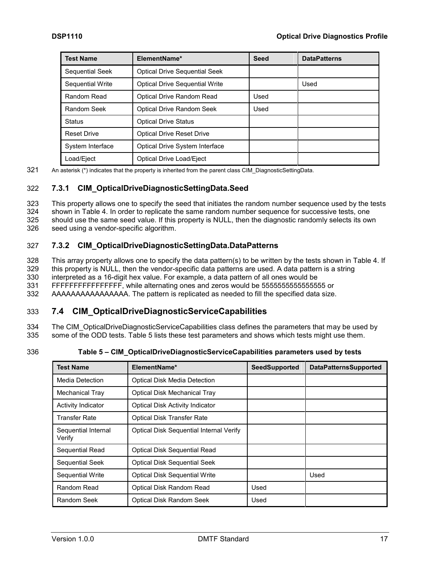| <b>Test Name</b>        | ElementName*                          | <b>Seed</b> | <b>DataPatterns</b> |
|-------------------------|---------------------------------------|-------------|---------------------|
| Sequential Seek         | <b>Optical Drive Sequential Seek</b>  |             |                     |
| <b>Sequential Write</b> | <b>Optical Drive Sequential Write</b> |             | Used                |
| Random Read             | Optical Drive Random Read             | Used        |                     |
| Random Seek             | <b>Optical Drive Random Seek</b>      | Used        |                     |
| Status                  | <b>Optical Drive Status</b>           |             |                     |
| <b>Reset Drive</b>      | <b>Optical Drive Reset Drive</b>      |             |                     |
| System Interface        | Optical Drive System Interface        |             |                     |
| Load/Eject              | Optical Drive Load/Eject              |             |                     |

<span id="page-16-2"></span>321 An asterisk (\*) indicates that the property is inherited from the parent class CIM\_DiagnosticSettingData.

### 322 **7.3.1 CIM\_OpticalDriveDiagnosticSettingData.Seed**

 This property allows one to specify the seed that initiates the random number sequence used by the tests shown in [Table 4.](#page-15-1) In order to replicate the same random number sequence for successive tests, one should use the same seed value. If this property is NULL, then the diagnostic randomly selects its own seed using a vendor-specific algorithm.

# <span id="page-16-3"></span>327 **7.3.2 CIM\_OpticalDriveDiagnosticSettingData.DataPatterns**

328 This array property allows one to specify the data pattern(s) to be written by the tests shown in [Table 4.](#page-15-1) If

329 this property is NULL, then the vendor-specific data patterns are used. A data pattern is a string

330 interpreted as a 16-digit hex value. For example, a data pattern of all ones would be

331 FFFFFFFFFFFFFFFF, while alternating ones and zeros would be 5555555555555555 or

<span id="page-16-0"></span>332 AAAAAAAAAAAAAAAA. The pattern is replicated as needed to fill the specified data size.

# 333 **7.4 CIM\_OpticalDriveDiagnosticServiceCapabilities**

334 The CIM\_OpticalDriveDiagnosticServiceCapabilities class defines the parameters that may be used by 335 some of the ODD tests. [Table 5](#page-16-1) lists these test parameters and shows which tests might use them.

| 336 |  |  | Table 5 - CIM_OpticalDriveDiagnosticServiceCapabilities parameters used by tests |  |
|-----|--|--|----------------------------------------------------------------------------------|--|
|     |  |  |                                                                                  |  |

<span id="page-16-1"></span>

| <b>Test Name</b>              | ElementName*                            | <b>SeedSupported</b> | <b>DataPatternsSupported</b> |
|-------------------------------|-----------------------------------------|----------------------|------------------------------|
| Media Detection               | <b>Optical Disk Media Detection</b>     |                      |                              |
| Mechanical Tray               | <b>Optical Disk Mechanical Tray</b>     |                      |                              |
| <b>Activity Indicator</b>     | <b>Optical Disk Activity Indicator</b>  |                      |                              |
| <b>Transfer Rate</b>          | <b>Optical Disk Transfer Rate</b>       |                      |                              |
| Sequential Internal<br>Verify | Optical Disk Sequential Internal Verify |                      |                              |
| Sequential Read               | Optical Disk Sequential Read            |                      |                              |
| <b>Sequential Seek</b>        | <b>Optical Disk Sequential Seek</b>     |                      |                              |
| <b>Sequential Write</b>       | <b>Optical Disk Sequential Write</b>    |                      | Used                         |
| Random Read                   | Optical Disk Random Read                | Used                 |                              |
| Random Seek                   | Optical Disk Random Seek                | Used                 |                              |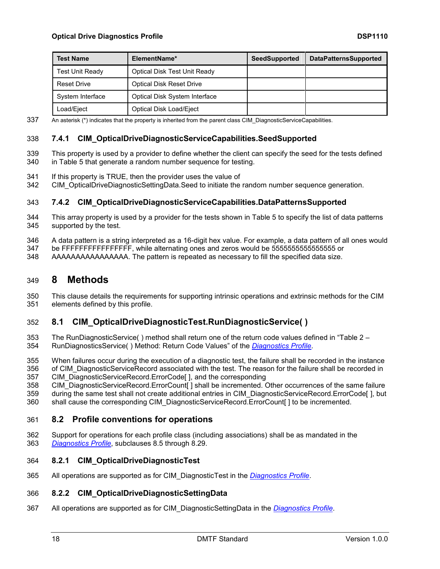| <b>Test Name</b>   | ElementName*                    | <b>SeedSupported</b> | <b>DataPatternsSupported</b> |
|--------------------|---------------------------------|----------------------|------------------------------|
| Test Unit Ready    | Optical Disk Test Unit Ready    |                      |                              |
| <b>Reset Drive</b> | <b>Optical Disk Reset Drive</b> |                      |                              |
| System Interface   | Optical Disk System Interface   |                      |                              |
| Load/Eiect         | Optical Disk Load/Eject         |                      |                              |

337 An asterisk (\*) indicates that the property is inherited from the parent class CIM\_DiagnosticServiceCapabilities.

# <span id="page-17-3"></span>**7.4.1 CIM\_OpticalDriveDiagnosticServiceCapabilities.SeedSupported**

- This property is used by a provider to define whether the client can specify the seed for the tests defined in [Table 5](#page-16-1) that generate a random number sequence for testing.
- If this property is TRUE, then the provider uses the value of
- CIM\_OpticalDriveDiagnosticSettingData.Seed to initiate the random number sequence generation.

# <span id="page-17-4"></span>**7.4.2 CIM\_OpticalDriveDiagnosticServiceCapabilities.DataPatternsSupported**

- This array property is used by a provider for the tests shown in [Table 5](#page-16-1) to specify the list of data patterns supported by the test.
- A data pattern is a string interpreted as a 16-digit hex value. For example, a data pattern of all ones would
- be FFFFFFFFFFFFFFFF, while alternating ones and zeros would be 5555555555555555 or
- <span id="page-17-0"></span>AAAAAAAAAAAAAAAA. The pattern is repeated as necessary to fill the specified data size.

# **8 Methods**

 This clause details the requirements for supporting intrinsic operations and extrinsic methods for the CIM elements defined by this profile.

# <span id="page-17-1"></span>**8.1 CIM\_OpticalDriveDiagnosticTest.RunDiagnosticService( )**

- 353 The RunDiagnosticService() method shall return one of the return code values defined in "Table 2 RunDiagnosticsService( ) Method: Return Code Values‖ of the *[Diagnostics Profile](#page-6-3)*.
- When failures occur during the execution of a diagnostic test, the failure shall be recorded in the instance 356 of CIM\_DiagnosticServiceRecord associated with the test. The reason for the failure shall be recorded in
- CIM\_DiagnosticServiceRecord.ErrorCode[ ], and the corresponding
- CIM\_DiagnosticServiceRecord.ErrorCount[ ] shall be incremented. Other occurrences of the same failure
- during the same test shall not create additional entries in CIM\_DiagnosticServiceRecord.ErrorCode[ ], but
- <span id="page-17-2"></span>shall cause the corresponding CIM\_DiagnosticServiceRecord.ErrorCount[ ] to be incremented.

# **8.2 Profile conventions for operations**

 Support for operations for each profile class (including associations) shall be as mandated in the *[Diagnostics Profile](#page-6-3)*, subclauses 8.5 through 8.29.

### **8.2.1 CIM\_OpticalDriveDiagnosticTest**

All operations are supported as for CIM\_DiagnosticTest in the *[Diagnostics Profile](#page-6-3)*.

### **8.2.2 CIM\_OpticalDriveDiagnosticSettingData**

All operations are supported as for CIM\_DiagnosticSettingData in the *[Diagnostics Profile](#page-6-3)*.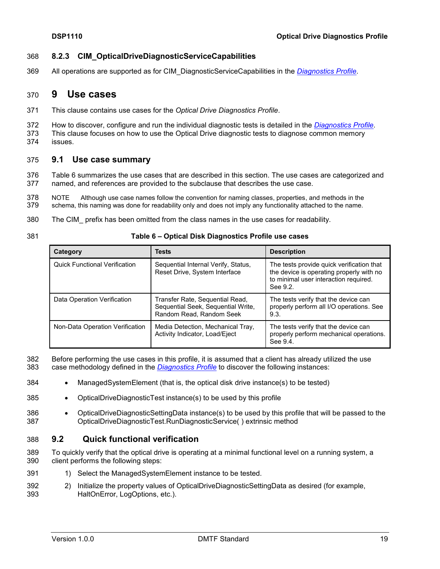# 368 **8.2.3 CIM\_OpticalDriveDiagnosticServiceCapabilities**

<span id="page-18-0"></span>369 All operations are supported as for CIM\_DiagnosticServiceCapabilities in the *[Diagnostics Profile](#page-6-3)*.

# 370 **9 Use cases**

- 371 This clause contains use cases for the *Optical Drive Diagnostics Profile*.
- 372 How to discover, configure and run the individual diagnostic tests is detailed in the *[Diagnostics Profile](#page-6-3)*.
- 373 This clause focuses on how to use the Optical Drive diagnostic tests to diagnose common memory 374 issues.

# <span id="page-18-1"></span>375 **9.1 Use case summary**

- 376 [Table 6](#page-18-3) summarizes the use cases that are described in this section. The use cases are categorized and 377 named, and references are provided to the subclause that describes the use case.
- 378 NOTE Although use case names follow the convention for naming classes, properties, and methods in the 379 schema. this naming was done for readability only and does not imply any functionality attached to the name. schema, this naming was done for readability only and does not imply any functionality attached to the name.
- 380 The CIM\_ prefix has been omitted from the class names in the use cases for readability.
- 

381 **Table 6 – Optical Disk Diagnostics Profile use cases**

<span id="page-18-3"></span>

| Category                             | Tests                                                                                             | <b>Description</b>                                                                                                                         |
|--------------------------------------|---------------------------------------------------------------------------------------------------|--------------------------------------------------------------------------------------------------------------------------------------------|
| <b>Quick Functional Verification</b> | Sequential Internal Verify, Status,<br>Reset Drive, System Interface                              | The tests provide quick verification that<br>the device is operating properly with no<br>to minimal user interaction required.<br>See 9.2. |
| Data Operation Verification          | Transfer Rate, Sequential Read,<br>Sequential Seek, Sequential Write,<br>Random Read, Random Seek | The tests verify that the device can<br>properly perform all I/O operations. See<br>9.3.                                                   |
| Non-Data Operation Verification      | Media Detection, Mechanical Tray,<br>Activity Indicator, Load/Eject                               | The tests verify that the device can<br>properly perform mechanical operations.<br>See 9.4.                                                |

382 Before performing the use cases in this profile, it is assumed that a client has already utilized the use 383 case methodology defined in the *[Diagnostics Profile](#page-6-3)* to discover the following instances:

- 384 ManagedSystemElement (that is, the optical disk drive instance(s) to be tested)
- 385 OpticalDriveDiagnosticTest instance(s) to be used by this profile
- 386 OpticalDriveDiagnosticSettingData instance(s) to be used by this profile that will be passed to the 387 OpticalDriveDiagnosticTest.RunDiagnosticService( ) extrinsic method

# <span id="page-18-2"></span>388 **9.2 Quick functional verification**

- 389 To quickly verify that the optical drive is operating at a minimal functional level on a running system, a 390 client performs the following steps:
- 391 1) Select the ManagedSystemElement instance to be tested.
- 392 2) Initialize the property values of OpticalDriveDiagnosticSettingData as desired (for example, 393 HaltOnError, LogOptions, etc.).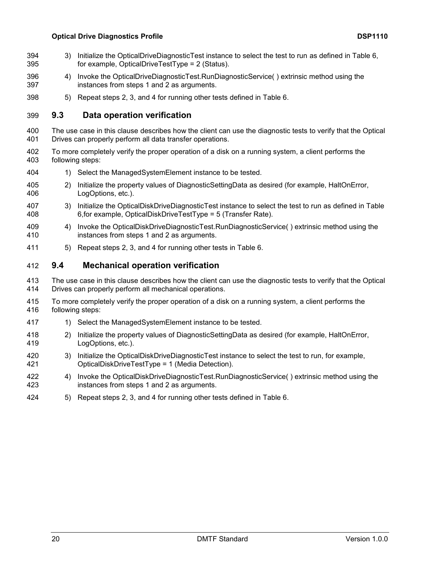### **Optical Drive Diagnostics Profile DSP1110**

- 3) Initialize the OpticalDriveDiagnosticTest instance to select the test to run as defined in [Table 6,](#page-18-3) for example, OpticalDriveTestType = 2 (Status).
- 4) Invoke the OpticalDriveDiagnosticTest.RunDiagnosticService( ) extrinsic method using the instances from steps 1 and 2 as arguments.
- <span id="page-19-0"></span>5) Repeat steps 2, 3, and 4 for running other tests defined in [Table 6.](#page-18-3)

# **9.3 Data operation verification**

- The use case in this clause describes how the client can use the diagnostic tests to verify that the Optical Drives can properly perform all data transfer operations.
- To more completely verify the proper operation of a disk on a running system, a client performs the following steps:
- 1) Select the ManagedSystemElement instance to be tested.
- 2) Initialize the property values of DiagnosticSettingData as desired (for example, HaltOnError, LogOptions, etc.).
- 3) Initialize the OpticalDiskDriveDiagnosticTest instance to select the test to run as defined in [Table](#page-18-3)  [6,](#page-18-3)for example, OpticalDiskDriveTestType = 5 (Transfer Rate).
- 4) Invoke the OpticalDiskDriveDiagnosticTest.RunDiagnosticService( ) extrinsic method using the instances from steps 1 and 2 as arguments.
- <span id="page-19-1"></span>5) Repeat steps 2, 3, and 4 for running other tests in [Table 6.](#page-18-3)

# **9.4 Mechanical operation verification**

- The use case in this clause describes how the client can use the diagnostic tests to verify that the Optical Drives can properly perform all mechanical operations.
- To more completely verify the proper operation of a disk on a running system, a client performs the following steps:
- 1) Select the ManagedSystemElement instance to be tested.
- 2) Initialize the property values of DiagnosticSettingData as desired (for example, HaltOnError, LogOptions, etc.).
- 3) Initialize the OpticalDiskDriveDiagnosticTest instance to select the test to run, for example, OpticalDiskDriveTestType = 1 (Media Detection).
- 4) Invoke the OpticalDiskDriveDiagnosticTest.RunDiagnosticService( ) extrinsic method using the instances from steps 1 and 2 as arguments.
- 5) Repeat steps 2, 3, and 4 for running other tests defined in [Table 6.](#page-18-3)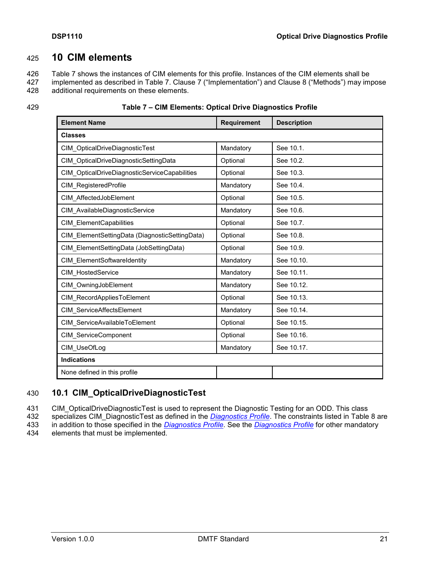# 425 **10 CIM elements**

<span id="page-20-0"></span>426 [Table 7](#page-20-2) shows the instances of CIM elements for this profile. Instances of the CIM elements shall be 427 implemented as described in [Table 7.](#page-20-2) Clause [7](#page-11-0) ("Implementation") and Clause [8](#page-17-0) ("Methods") may impose

428 additional requirements on these elements.

<span id="page-20-2"></span>

| <b>Element Name</b>                            | <b>Requirement</b> | <b>Description</b> |
|------------------------------------------------|--------------------|--------------------|
| <b>Classes</b>                                 |                    |                    |
| CIM OpticalDriveDiagnosticTest                 | Mandatory          | See 10.1.          |
| CIM OpticalDriveDiagnosticSettingData          | Optional           | See 10.2.          |
| CIM OpticalDriveDiagnosticServiceCapabilities  | Optional           | See 10.3.          |
| CIM RegisteredProfile                          | Mandatory          | See 10.4.          |
| CIM AffectedJobElement                         | Optional           | See 10.5.          |
| CIM_AvailableDiagnosticService                 | Mandatory          | See 10.6.          |
| CIM ElementCapabilities                        | Optional           | See 10.7.          |
| CIM ElementSettingData (DiagnosticSettingData) | Optional           | See 10.8.          |
| CIM ElementSettingData (JobSettingData)        | Optional           | See 10.9.          |
| CIM ElementSoftwareIdentity                    | Mandatory          | See 10.10.         |
| CIM HostedService                              | Mandatory          | See 10.11.         |
| CIM OwningJobElement                           | Mandatory          | See 10.12.         |
| CIM RecordAppliesToElement                     | Optional           | See 10.13.         |
| CIM ServiceAffectsElement                      | Mandatory          | See 10.14.         |
| CIM ServiceAvailableToElement                  | Optional           | See 10.15.         |
| CIM ServiceComponent                           | Optional           | See 10.16.         |
| CIM UseOfLog                                   | Mandatory          | See 10.17.         |
| <b>Indications</b>                             |                    |                    |
| None defined in this profile                   |                    |                    |

| 429 | Table 7 - CIM Elements: Optical Drive Diagnostics Profile |
|-----|-----------------------------------------------------------|
|-----|-----------------------------------------------------------|

# <span id="page-20-1"></span>430 **10.1 CIM\_OpticalDriveDiagnosticTest**

431 CIM\_OpticalDriveDiagnosticTest is used to represent the Diagnostic Testing for an ODD. This class<br>432 specializes CIM DiagnosticTest as defined in the *Diagnostics Profile*. The constraints listed in Table specializes CIM\_DiagnosticTest as defined in the *[Diagnostics Profile](#page-6-3)*. The constraints listed in [Table 8](#page-21-3) are 433 in addition to those specified in the *[Diagnostics Profile](#page-6-3)*. See the *[Diagnostics Profile](#page-6-3)* for other mandatory

434 elements that must be implemented.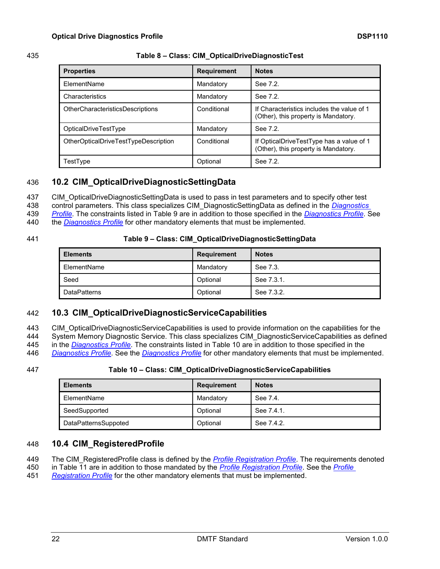# 435 **Table 8 – Class: CIM\_OpticalDriveDiagnosticTest**

<span id="page-21-3"></span>

| <b>Properties</b>                    | <b>Requirement</b> | <b>Notes</b>                                                                       |
|--------------------------------------|--------------------|------------------------------------------------------------------------------------|
| ElementName                          | Mandatory          | See 7.2.                                                                           |
| Characteristics                      | Mandatory          | See 7.2.                                                                           |
| OtherCharacteristicsDescriptions     | Conditional        | If Characteristics includes the value of 1<br>(Other), this property is Mandatory. |
| <b>OpticalDriveTestType</b>          | Mandatory          | See 7.2.                                                                           |
| OtherOpticalDriveTestTypeDescription | Conditional        | If OpticalDriveTestType has a value of 1<br>(Other), this property is Mandatory.   |
| TestType                             | Optional           | See 7.2.                                                                           |

# <span id="page-21-0"></span>436 **10.2 CIM\_OpticalDriveDiagnosticSettingData**

437 CIM\_OpticalDriveDiagnosticSettingData is used to pass in test parameters and to specify other test

438 control parameters. This class specializes CIM\_DiagnosticSettingData as defined in the *[Diagnostics](#page-6-3)* 

439 *[Profile](#page-6-3)*. The constraints listed in [Table 9](#page-21-4) are in addition to those specified in the *[Diagnostics Profile](#page-6-3)*. See

440 the *[Diagnostics Profile](#page-6-3)* for other mandatory elements that must be implemented.

### 441 **Table 9 – Class: CIM\_OpticalDriveDiagnosticSettingData**

<span id="page-21-4"></span>

| <b>Elements</b>     | <b>Requirement</b> | <b>Notes</b> |
|---------------------|--------------------|--------------|
| ElementName         | Mandatory          | See 7.3.     |
| Seed                | Optional           | See 7.3.1.   |
| <b>DataPatterns</b> | Optional           | See 7.3.2.   |

# <span id="page-21-1"></span>442 **10.3 CIM\_OpticalDriveDiagnosticServiceCapabilities**

443 CIM\_OpticalDriveDiagnosticServiceCapabilities is used to provide information on the capabilities for the 444 System Memory Diagnostic Service. This class specializes CIM\_DiagnosticServiceCapabilities as defined<br>445 in the *Diagnostics Profile*. The constraints listed in Table 10 are in addition to those specified in the 445 in the *[Diagnostics Profile](#page-6-3)*. The constraints listed in [Table 10](#page-21-5) are in addition to those specified in the

446 *[Diagnostics Profile](#page-6-3)*. See the *[Diagnostics Profile](#page-6-3)* for other mandatory elements that must be implemented.

| 447 | Table 10 - Class: CIM_OpticalDriveDiagnosticServiceCapabilities |
|-----|-----------------------------------------------------------------|
|-----|-----------------------------------------------------------------|

<span id="page-21-5"></span>

| <b>Elements</b>      | <b>Requirement</b> | <b>Notes</b> |
|----------------------|--------------------|--------------|
| ElementName          | Mandatory          | See 7.4.     |
| SeedSupported        | Optional           | See 7.4.1.   |
| DataPatternsSuppoted | Optional           | See 7.4.2.   |

# <span id="page-21-2"></span>448 **10.4 CIM\_RegisteredProfile**

- 449 The CIM\_RegisteredProfile class is defined by the *[Profile Registration Profile](#page-6-9)*. The requirements denoted
- 450 in [Table 11](#page-22-3) are in addition to those mandated by the *[Profile Registration Profile](#page-6-9)*. See the *[Profile](#page-6-9)*
- 451 *[Registration Profile](#page-6-9)* for the other mandatory elements that must be implemented.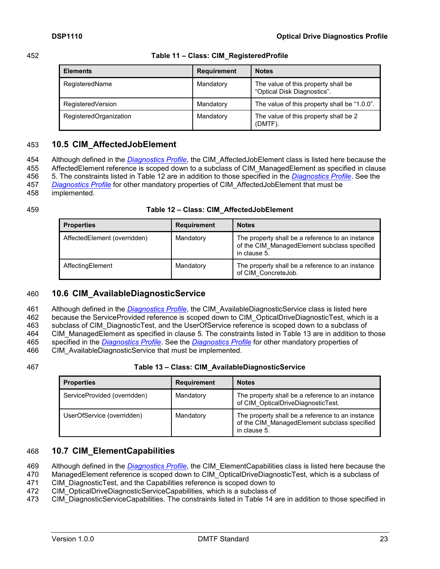### 452 **Table 11 – Class: CIM\_RegisteredProfile**

<span id="page-22-3"></span>

| <b>Elements</b>        | <b>Requirement</b> | <b>Notes</b>                                                       |
|------------------------|--------------------|--------------------------------------------------------------------|
| RegisteredName         | Mandatory          | The value of this property shall be<br>"Optical Disk Diagnostics". |
| RegisteredVersion      | Mandatory          | The value of this property shall be "1.0.0".                       |
| RegisteredOrganization | Mandatory          | The value of this property shall be 2<br>(DMTF).                   |

# <span id="page-22-0"></span>453 **10.5 CIM\_AffectedJobElement**

454 Although defined in the *[Diagnostics Profile](#page-6-3)*, the CIM\_AffectedJobElement class is listed here because the 455 AffectedElement reference is scoped down to a subclass of CIM\_ManagedElement as specified in clause 456 [5.](#page-8-0) The constraints listed in [Table 12](#page-22-4) are in addition to those specified in the *[Diagnostics Profile](#page-6-3)*. See the

457 *[Diagnostics Profile](#page-6-3)* for other mandatory properties of CIM\_AffectedJobElement that must be

458 implemented.

### 459 **Table 12 – Class: CIM\_AffectedJobElement**

<span id="page-22-4"></span>

| <b>Properties</b>            | <b>Requirement</b> | <b>Notes</b>                                                                                                     |
|------------------------------|--------------------|------------------------------------------------------------------------------------------------------------------|
| AffectedElement (overridden) | Mandatory          | The property shall be a reference to an instance<br>of the CIM ManagedElement subclass specified<br>in clause 5. |
| AffectingElement             | Mandatory          | The property shall be a reference to an instance<br>of CIM ConcreteJob.                                          |

# <span id="page-22-1"></span>460 **10.6 CIM\_AvailableDiagnosticService**

 Although defined in the *[Diagnostics Profile](#page-6-3)*, the CIM\_AvailableDiagnosticService class is listed here because the ServiceProvided reference is scoped down to CIM\_OpticalDriveDiagnosticTest, which is a subclass of CIM\_DiagnosticTest, and the UserOfService reference is scoped down to a subclass of CIM\_ManagedElement as specified in clause [5.](#page-8-0) The constraints listed in [Table 13](#page-22-5) are in addition to those specified in the *[Diagnostics Profile](#page-6-3)*. See the *[Diagnostics Profile](#page-6-3)* for other mandatory properties of 466 CIM AvailableDiagnosticService that must be implemented.

### 467 **Table 13 – Class: CIM\_AvailableDiagnosticService**

<span id="page-22-5"></span>

| <b>Properties</b>            | <b>Requirement</b> | <b>Notes</b>                                                                                                     |
|------------------------------|--------------------|------------------------------------------------------------------------------------------------------------------|
| ServiceProvided (overridden) | Mandatory          | The property shall be a reference to an instance<br>of CIM OpticalDriveDiagnosticTest.                           |
| UserOfService (overridden)   | Mandatory          | The property shall be a reference to an instance<br>of the CIM ManagedElement subclass specified<br>in clause 5. |

# <span id="page-22-2"></span>468 **10.7 CIM\_ElementCapabilities**

469 Although defined in the *[Diagnostics Profile](#page-6-3)*, the CIM\_ElementCapabilities class is listed here because the

470 ManagedElement reference is scoped down to CIM OpticalDriveDiagnosticTest, which is a subclass of

471 CIM DiagnosticTest, and the Capabilities reference is scoped down to

472 CIM\_OpticalDriveDiagnosticServiceCapabilities, which is a subclass of

473 CIM DiagnosticServiceCapabilities. The constraints listed in [Table 14](#page-23-2) are in addition to those specified in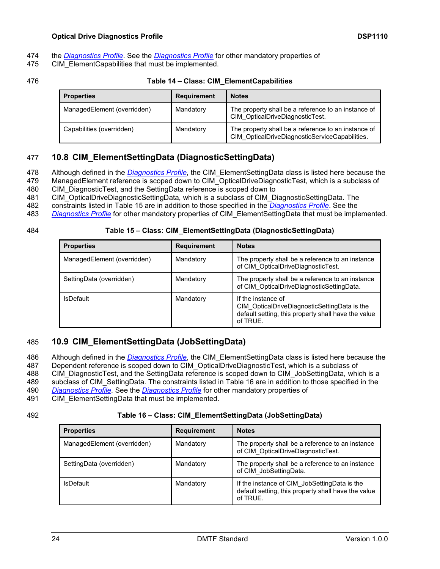- 474 the *[Diagnostics Profile](#page-6-3)*. See the *[Diagnostics Profile](#page-6-3)* for other mandatory properties of
- 475 CIM ElementCapabilities that must be implemented.

### 476 **Table 14 – Class: CIM\_ElementCapabilities**

<span id="page-23-2"></span>

| <b>Properties</b>           | <b>Requirement</b> | <b>Notes</b>                                                                                          |
|-----------------------------|--------------------|-------------------------------------------------------------------------------------------------------|
| ManagedElement (overridden) | Mandatory          | The property shall be a reference to an instance of<br>CIM OpticalDriveDiagnosticTest.                |
| Capabilities (overridden)   | Mandatory          | The property shall be a reference to an instance of<br>CIM OpticalDriveDiagnosticServiceCapabilities. |

# <span id="page-23-0"></span>477 **10.8 CIM\_ElementSettingData (DiagnosticSettingData)**

- 478 Although defined in the *[Diagnostics Profile](#page-6-3)*, the CIM\_ElementSettingData class is listed here because the
- 479 ManagedElement reference is scoped down to CIM OpticalDriveDiagnosticTest, which is a subclass of 480 CIM\_DiagnosticTest, and the SettingData reference is scoped down to

481 CIM\_OpticalDriveDiagnosticSettingData, which is a subclass of CIM\_DiagnosticSettingData. The

- 
- 482 constraints listed in [Table 15](#page-23-3) are in addition to those specified in the *[Diagnostics Profile](#page-6-3)*. See the
- 483 *[Diagnostics Profile](#page-6-3)* for other mandatory properties of CIM\_ElementSettingData that must be implemented.
- 

### 484 **Table 15 – Class: CIM\_ElementSettingData (DiagnosticSettingData)**

<span id="page-23-3"></span>

| <b>Properties</b>           | <b>Requirement</b> | <b>Notes</b>                                                                                                                          |
|-----------------------------|--------------------|---------------------------------------------------------------------------------------------------------------------------------------|
| ManagedElement (overridden) | Mandatory          | The property shall be a reference to an instance<br>of CIM OpticalDriveDiagnosticTest.                                                |
| SettingData (overridden)    | Mandatory          | The property shall be a reference to an instance<br>of CIM OpticalDriveDiagnosticSettingData.                                         |
| <b>IsDefault</b>            | Mandatory          | If the instance of<br>CIM OpticalDriveDiagnosticSettingData is the<br>default setting, this property shall have the value<br>of TRUE. |

# <span id="page-23-1"></span>485 **10.9 CIM\_ElementSettingData (JobSettingData)**

486 Although defined in the *[Diagnostics Profile](#page-6-3)*, the CIM\_ElementSettingData class is listed here because the

487 Dependent reference is scoped down to CIM\_OpticalDriveDiagnosticTest, which is a subclass of

488 CIM DiagnosticTest, and the SettingData reference is scoped down to CIM JobSettingData, which is a

489 subclass of CIM\_SettingData. The constraints listed in [Table 16](#page-23-4) are in addition to those specified in the

490 *[Diagnostics Profile](#page-6-3)*. See the *[Diagnostics Profile](#page-6-3)* for other mandatory properties of

491 CIM ElementSettingData that must be implemented.

### 492 **Table 16 – Class: CIM\_ElementSettingData (JobSettingData)**

<span id="page-23-4"></span>

| <b>Properties</b>           | <b>Requirement</b> | <b>Notes</b>                                                                                                    |
|-----------------------------|--------------------|-----------------------------------------------------------------------------------------------------------------|
| ManagedElement (overridden) | Mandatory          | The property shall be a reference to an instance<br>of CIM_OpticalDriveDiagnosticTest.                          |
| SettingData (overridden)    | Mandatory          | The property shall be a reference to an instance<br>of CIM JobSettingData.                                      |
| <b>IsDefault</b>            | Mandatory          | If the instance of CIM_JobSettingData is the<br>default setting, this property shall have the value<br>of TRUE. |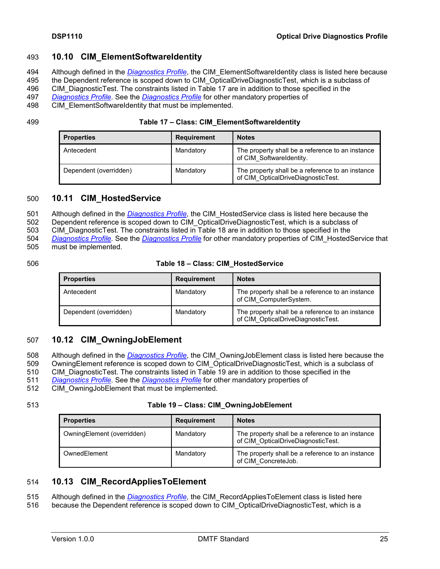# <span id="page-24-0"></span>493 **10.10 CIM\_ElementSoftwareIdentity**

494 Although defined in the *[Diagnostics Profile](#page-6-3)*, the CIM\_ElementSoftwareIdentity class is listed here because

495 the Dependent reference is scoped down to CIM\_OpticalDriveDiagnosticTest, which is a subclass of

496 CIM DiagnosticTest. The constraints listed in [Table 17](#page-24-4) are in addition to those specified in the

497 *[Diagnostics Profile](#page-6-3)*. See the *[Diagnostics Profile](#page-6-3)* for other mandatory properties of

498 CIM ElementSoftwareIdentity that must be implemented.

499 **Table 17 – Class: CIM\_ElementSoftwareIdentity**

<span id="page-24-4"></span>

| <b>Properties</b>      | <b>Requirement</b> | <b>Notes</b>                                                                           |
|------------------------|--------------------|----------------------------------------------------------------------------------------|
| Antecedent             | Mandatory          | The property shall be a reference to an instance<br>of CIM SoftwareIdentity.           |
| Dependent (overridden) | Mandatory          | The property shall be a reference to an instance<br>of CIM OpticalDriveDiagnosticTest. |

# <span id="page-24-1"></span>500 **10.11 CIM\_HostedService**

501 Although defined in the *[Diagnostics Profile](#page-6-3)*, the CIM\_HostedService class is listed here because the

502 Dependent reference is scoped down to CIM\_OpticalDriveDiagnosticTest, which is a subclass of

503 CIM\_DiagnosticTest. The constraints listed in [Table 18](#page-24-5) are in addition to those specified in the

504 *[Diagnostics Profile](#page-6-3)*. See the *[Diagnostics Profile](#page-6-3)* for other mandatory properties of CIM\_HostedService that

505 must be implemented.

### 506 **Table 18 – Class: CIM\_HostedService**

<span id="page-24-5"></span>

| <b>Properties</b>      | <b>Requirement</b> | <b>Notes</b>                                                                           |
|------------------------|--------------------|----------------------------------------------------------------------------------------|
| Antecedent             | Mandatory          | The property shall be a reference to an instance<br>of CIM ComputerSystem.             |
| Dependent (overridden) | Mandatory          | The property shall be a reference to an instance<br>of CIM OpticalDriveDiagnosticTest. |

# <span id="page-24-2"></span>507 **10.12 CIM\_OwningJobElement**

508 Although defined in the *[Diagnostics Profile](#page-6-3)*, the CIM\_OwningJobElement class is listed here because the

509 OwningElement reference is scoped down to CIM\_OpticalDriveDiagnosticTest, which is a subclass of

510 CIM DiagnosticTest. The constraints listed in [Table 19](#page-24-6) are in addition to those specified in the

511 *[Diagnostics Profile](#page-6-3)*. See the *[Diagnostics Profile](#page-6-3)* for other mandatory properties of

512 CIM OwningJobElement that must be implemented.

### 513 **Table 19 – Class: CIM\_OwningJobElement**

<span id="page-24-6"></span>

| <b>Properties</b>          | <b>Requirement</b> | <b>Notes</b>                                                                           |
|----------------------------|--------------------|----------------------------------------------------------------------------------------|
| OwningElement (overridden) | Mandatory          | The property shall be a reference to an instance<br>of CIM OpticalDriveDiagnosticTest. |
| OwnedElement               | Mandatory          | The property shall be a reference to an instance<br>of CIM ConcreteJob.                |

# <span id="page-24-3"></span>514 **10.13 CIM\_RecordAppliesToElement**

515 Although defined in the *[Diagnostics Profile](#page-6-3)*, the CIM\_RecordAppliesToElement class is listed here

516 because the Dependent reference is scoped down to CIM\_OpticalDriveDiagnosticTest, which is a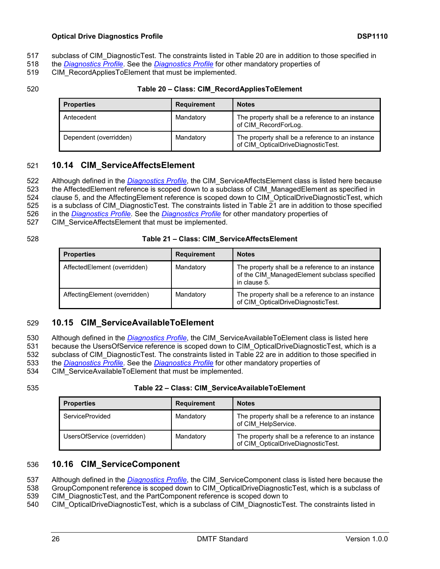### **Optical Drive Diagnostics Profile DSP1110**

- 517 subclass of CIM\_DiagnosticTest. The constraints listed in [Table 20](#page-25-3) are in addition to those specified in
- 518 the *[Diagnostics Profile](#page-6-3)*. See the *[Diagnostics Profile](#page-6-3)* for other mandatory properties of
- 519 CIM\_RecordAppliesToElement that must be implemented.
- 

### 520 **Table 20 – Class: CIM\_RecordAppliesToElement**

<span id="page-25-3"></span>

| <b>Properties</b>      | <b>Requirement</b> | <b>Notes</b>                                                                           |
|------------------------|--------------------|----------------------------------------------------------------------------------------|
| Antecedent             | Mandatory          | The property shall be a reference to an instance<br>of CIM RecordForLog.               |
| Dependent (overridden) | Mandatory          | The property shall be a reference to an instance<br>of CIM OpticalDriveDiagnosticTest. |

# <span id="page-25-0"></span>521 **10.14 CIM\_ServiceAffectsElement**

522 Although defined in the *[Diagnostics Profile](#page-6-3)*, the CIM\_ServiceAffectsElement class is listed here because

523 the AffectedElement reference is scoped down to a subclass of CIM ManagedElement as specified in

524 clause [5,](#page-8-0) and the AffectingElement reference is scoped down to CIM\_OpticalDriveDiagnosticTest, which

525 is a subclass of CIM\_DiagnosticTest. The constraints listed in [Table 21](#page-25-4) are in addition to those specified

526 in the *[Diagnostics Profile](#page-6-3)*. See the *[Diagnostics Profile](#page-6-3)* for other mandatory properties of

527 CIM\_ServiceAffectsElement that must be implemented.

# 528 **Table 21 – Class: CIM\_ServiceAffectsElement**

<span id="page-25-4"></span>

| <b>Properties</b>             | <b>Requirement</b> | <b>Notes</b>                                                                                                     |
|-------------------------------|--------------------|------------------------------------------------------------------------------------------------------------------|
| AffectedElement (overridden)  | Mandatory          | The property shall be a reference to an instance<br>of the CIM ManagedElement subclass specified<br>in clause 5. |
| AffectingElement (overridden) | Mandatory          | The property shall be a reference to an instance<br>of CIM OpticalDriveDiagnosticTest.                           |

# <span id="page-25-1"></span>529 **10.15 CIM\_ServiceAvailableToElement**

530 Although defined in the *[Diagnostics Profile](#page-6-3)*, the CIM\_ServiceAvailableToElement class is listed here 531 because the UsersOfService reference is scoped down to CIM\_OpticalDriveDiagnosticTest, which is a

532 subclass of CIM DiagnosticTest. The constraints listed in [Table 22](#page-25-5) are in addition to those specified in

533 the *[Diagnostics Profile](#page-6-3)*. See the *[Diagnostics Profile](#page-6-3)* for other mandatory properties of

534 CIM\_ServiceAvailableToElement that must be implemented.

### 535 **Table 22 – Class: CIM\_ServiceAvailableToElement**

<span id="page-25-5"></span>

| <b>Properties</b>           | <b>Requirement</b> | <b>Notes</b>                                                                           |
|-----------------------------|--------------------|----------------------------------------------------------------------------------------|
| ServiceProvided             | Mandatory          | The property shall be a reference to an instance<br>of CIM HelpService.                |
| UsersOfService (overridden) | Mandatory          | The property shall be a reference to an instance<br>of CIM OpticalDriveDiagnosticTest. |

# <span id="page-25-2"></span>536 **10.16 CIM\_ServiceComponent**

537 Although defined in the *[Diagnostics Profile](#page-6-3)*, the CIM\_ServiceComponent class is listed here because the 538 GroupComponent reference is scoped down to CIM\_OpticalDriveDiagnosticTest, which is a subclass of

539 CIM\_DiagnosticTest, and the PartComponent reference is scoped down to

540 CIM OpticalDriveDiagnosticTest, which is a subclass of CIM DiagnosticTest. The constraints listed in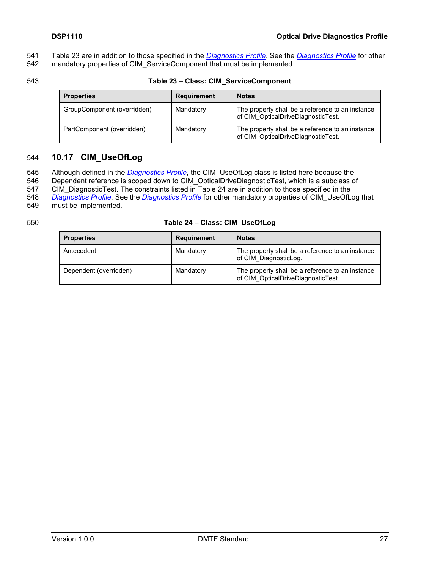- 541 [Table 23](#page-26-1) are in addition to those specified in the *[Diagnostics Profile](#page-6-3)*. See the *[Diagnostics Profile](#page-6-3)* for other
- 542 mandatory properties of CIM ServiceComponent that must be implemented.

| 543 | Table 23 - Class: CIM_ServiceComponent |
|-----|----------------------------------------|
|-----|----------------------------------------|

<span id="page-26-1"></span>

| <b>Properties</b>           | <b>Requirement</b> | <b>Notes</b>                                                                           |
|-----------------------------|--------------------|----------------------------------------------------------------------------------------|
| GroupComponent (overridden) | Mandatory          | The property shall be a reference to an instance<br>of CIM OpticalDriveDiagnosticTest. |
| PartComponent (overridden)  | Mandatory          | The property shall be a reference to an instance<br>of CIM OpticalDriveDiagnosticTest. |

# <span id="page-26-0"></span>544 **10.17 CIM\_UseOfLog**

545 Although defined in the *[Diagnostics Profile](#page-6-3)*, the CIM\_UseOfLog class is listed here because the

546 Dependent reference is scoped down to CIM\_OpticalDriveDiagnosticTest, which is a subclass of

547 CIM DiagnosticTest. The constraints listed in [Table 24](#page-26-2) are in addition to those specified in the

548 *[Diagnostics Profile](#page-6-3)*. See the *[Diagnostics Profile](#page-6-3)* for other mandatory properties of CIM\_UseOfLog that must be implemented.

# 550 **Table 24 – Class: CIM\_UseOfLog**

<span id="page-26-2"></span>

| <b>Properties</b>      | <b>Requirement</b> | <b>Notes</b>                                                                           |
|------------------------|--------------------|----------------------------------------------------------------------------------------|
| Antecedent             | Mandatory          | The property shall be a reference to an instance<br>of CIM DiagnosticLog.              |
| Dependent (overridden) | Mandatory          | The property shall be a reference to an instance<br>of CIM OpticalDriveDiagnosticTest. |